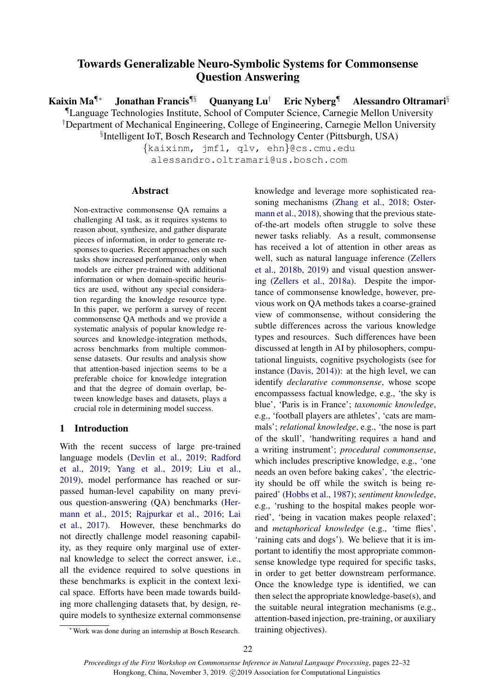# Towards Generalizable Neuro-Symbolic Systems for Commonsense Question Answering

Kaixin Ma¶∗ Jonathan Francis¶§ Quanyang Lu† Eric Nyberg¶ Alessandro Oltramari§ ¶Language Technologies Institute, School of Computer Science, Carnegie Mellon University †Department of Mechanical Engineering, College of Engineering, Carnegie Mellon University § Intelligent IoT, Bosch Research and Technology Center (Pittsburgh, USA)

{kaixinm, jmf1, qlv, ehn}@cs.cmu.edu alessandro.oltramari@us.bosch.com

## Abstract

Non-extractive commonsense QA remains a challenging AI task, as it requires systems to reason about, synthesize, and gather disparate pieces of information, in order to generate responses to queries. Recent approaches on such tasks show increased performance, only when models are either pre-trained with additional information or when domain-specific heuristics are used, without any special consideration regarding the knowledge resource type. In this paper, we perform a survey of recent commonsense QA methods and we provide a systematic analysis of popular knowledge resources and knowledge-integration methods, across benchmarks from multiple commonsense datasets. Our results and analysis show that attention-based injection seems to be a preferable choice for knowledge integration and that the degree of domain overlap, between knowledge bases and datasets, plays a crucial role in determining model success.

## 1 Introduction

With the recent success of large pre-trained language models [\(Devlin et al.,](#page-8-0) [2019;](#page-8-0) [Radford](#page-9-0) [et al.,](#page-9-0) [2019;](#page-9-0) [Yang et al.,](#page-10-0) [2019;](#page-10-0) [Liu et al.,](#page-9-1) [2019\)](#page-9-1), model performance has reached or surpassed human-level capability on many previous question-answering (QA) benchmarks [\(Her](#page-8-1)[mann et al.,](#page-8-1) [2015;](#page-8-1) [Rajpurkar et al.,](#page-9-2) [2016;](#page-9-2) [Lai](#page-8-2) [et al.,](#page-8-2) [2017\)](#page-8-2). However, these benchmarks do not directly challenge model reasoning capability, as they require only marginal use of external knowledge to select the correct answer, i.e., all the evidence required to solve questions in these benchmarks is explicit in the context lexical space. Efforts have been made towards building more challenging datasets that, by design, require models to synthesize external commonsense knowledge and leverage more sophisticated reasoning mechanisms [\(Zhang et al.,](#page-10-1) [2018;](#page-10-1) [Oster](#page-9-3)[mann et al.,](#page-9-3) [2018\)](#page-9-3), showing that the previous stateof-the-art models often struggle to solve these newer tasks reliably. As a result, commonsense has received a lot of attention in other areas as well, such as natural language inference [\(Zellers](#page-10-2) [et al.,](#page-10-2) [2018b,](#page-10-2) [2019\)](#page-10-3) and visual question answering [\(Zellers et al.,](#page-10-4) [2018a\)](#page-10-4). Despite the importance of commonsense knowledge, however, previous work on QA methods takes a coarse-grained view of commonsense, without considering the subtle differences across the various knowledge types and resources. Such differences have been discussed at length in AI by philosophers, computational linguists, cognitive psychologists (see for instance [\(Davis,](#page-8-3) [2014\)](#page-8-3)): at the high level, we can identify *declarative commonsense*, whose scope encompassess factual knowledge, e.g., 'the sky is blue', 'Paris is in France'; *taxonomic knowledge*, e.g., 'football players are athletes', 'cats are mammals'; *relational knowledge*, e.g., 'the nose is part of the skull', 'handwriting requires a hand and a writing instrument'; *procedural commonsense*, which includes prescriptive knowledge, e.g., 'one needs an oven before baking cakes', 'the electricity should be off while the switch is being repaired' [\(Hobbs et al.,](#page-8-4) [1987\)](#page-8-4); *sentiment knowledge*, e.g., 'rushing to the hospital makes people worried', 'being in vacation makes people relaxed'; and *metaphorical knowledge* (e.g., 'time flies', 'raining cats and dogs'). We believe that it is important to identifiy the most appropriate commonsense knowledge type required for specific tasks, in order to get better downstream performance. Once the knowledge type is identified, we can then select the appropriate knowledge-base(s), and the suitable neural integration mechanisms (e.g., attention-based injection, pre-training, or auxiliary training objectives).

<sup>∗</sup>Work was done during an internship at Bosch Research.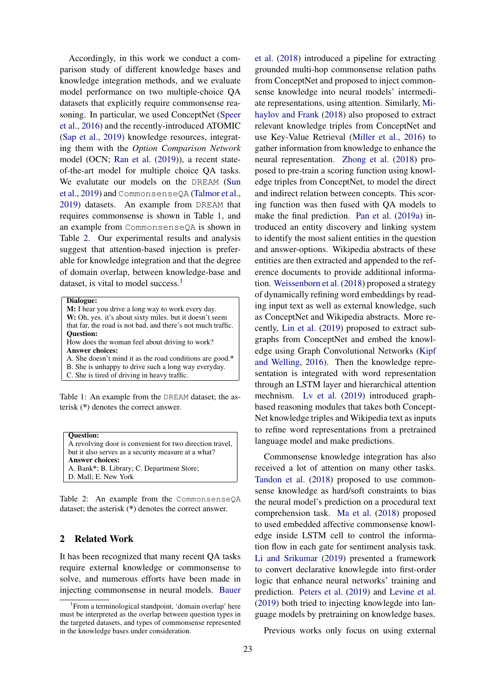Accordingly, in this work we conduct a comparison study of different knowledge bases and knowledge integration methods, and we evaluate model performance on two multiple-choice QA datasets that explicitly require commonsense reasoning. In particular, we used ConceptNet [\(Speer](#page-9-4) [et al.,](#page-9-4) [2016\)](#page-9-4) and the recently-introduced ATOMIC [\(Sap et al.,](#page-9-5) [2019\)](#page-9-5) knowledge resources, integrating them with the *Option Comparison Network* model (OCN; [Ran et al.](#page-9-6) [\(2019\)](#page-9-6)), a recent stateof-the-art model for multiple choice QA tasks. We evalutate our models on the DREAM [\(Sun](#page-9-7) [et al.,](#page-9-7) [2019\)](#page-9-7) and CommonsenseQA [\(Talmor et al.,](#page-9-8) [2019\)](#page-9-8) datasets. An example from DREAM that requires commonsense is shown in Table [1,](#page-1-0) and an example from CommonsenseQA is shown in Table [2.](#page-1-1) Our experimental results and analysis suggest that attention-based injection is preferable for knowledge integration and that the degree of domain overlap, between knowledge-base and dataset, is vital to model success.<sup>[1](#page-1-2)</sup>

<span id="page-1-0"></span>Dialogue:

M: I hear you drive a long way to work every day. W: Oh, yes. it's about sixty miles. but it doesn't seem that far, the road is not bad, and there's not much traffic. Question: How does the woman feel about driving to work? Answer choices:

A. She doesn't mind it as the road conditions are good.\*

B. She is unhappy to drive such a long way everyday.

C. She is tired of driving in heavy traffic.

Table 1: An example from the DREAM dataset; the asterisk (\*) denotes the correct answer.

<span id="page-1-1"></span>

Table 2: An example from the CommonsenseQA dataset; the asterisk (\*) denotes the correct answer.

# 2 Related Work

It has been recognized that many recent QA tasks require external knowledge or commonsense to solve, and numerous efforts have been made in injecting commonsense in neural models. [Bauer](#page-8-5)

[et al.](#page-8-5) [\(2018\)](#page-8-5) introduced a pipeline for extracting grounded multi-hop commonsense relation paths from ConceptNet and proposed to inject commonsense knowledge into neural models' intermediate representations, using attention. Similarly, [Mi](#page-9-9)[haylov and Frank](#page-9-9) [\(2018\)](#page-9-9) also proposed to extract relevant knowledge triples from ConceptNet and use Key-Value Retrieval [\(Miller et al.,](#page-9-10) [2016\)](#page-9-10) to gather information from knowledge to enhance the neural representation. [Zhong et al.](#page-10-5) [\(2018\)](#page-10-5) proposed to pre-train a scoring function using knowledge triples from ConceptNet, to model the direct and indirect relation between concepts. This scoring function was then fused with QA models to make the final prediction. [Pan et al.](#page-9-11) [\(2019a\)](#page-9-11) introduced an entity discovery and linking system to identify the most salient entities in the question and answer-options. Wikipedia abstracts of these entities are then extracted and appended to the reference documents to provide additional information. [Weissenborn et al.](#page-10-6) [\(2018\)](#page-10-6) proposed a strategy of dynamically refining word embeddings by reading input text as well as external knowledge, such as ConceptNet and Wikipedia abstracts. More recently, [Lin et al.](#page-8-6) [\(2019\)](#page-8-6) proposed to extract subgraphs from ConceptNet and embed the knowledge using Graph Convolutional Networks [\(Kipf](#page-8-7) [and Welling,](#page-8-7) [2016\)](#page-8-7). Then the knowledge representation is integrated with word representation through an LSTM layer and hierarchical attention mechnism. [Lv et al.](#page-9-12) [\(2019\)](#page-9-12) introduced graphbased reasoning modules that takes both Concept-Net knowledge triples and Wikipedia text as inputs to refine word representations from a pretrained language model and make predictions.

Commonsense knowledge integration has also received a lot of attention on many other tasks. [Tandon et al.](#page-9-13) [\(2018\)](#page-9-13) proposed to use commonsense knowledge as hard/soft constraints to bias the neural model's prediction on a procedural text comprehension task. [Ma et al.](#page-9-14) [\(2018\)](#page-9-14) proposed to used embedded affective commonsense knowledge inside LSTM cell to control the information flow in each gate for sentiment analysis task. [Li and Srikumar](#page-8-8) [\(2019\)](#page-8-8) presented a framework to convert declarative knowlegde into first-order logic that enhance neural networks' training and prediction. [Peters et al.](#page-9-15) [\(2019\)](#page-9-15) and [Levine et al.](#page-8-9) [\(2019\)](#page-8-9) both tried to injecting knowlegde into language models by pretraining on knowledge bases.

Previous works only focus on using external

<span id="page-1-2"></span><sup>&</sup>lt;sup>1</sup> [From a terminological standpoint, 'domain overlap' here](#page-8-5) [must be interpreted as the overlap between question types in](#page-8-5) [the targeted datasets, and types of commonsense represented](#page-8-5) [in the knowledge bases under consideration.](#page-8-5)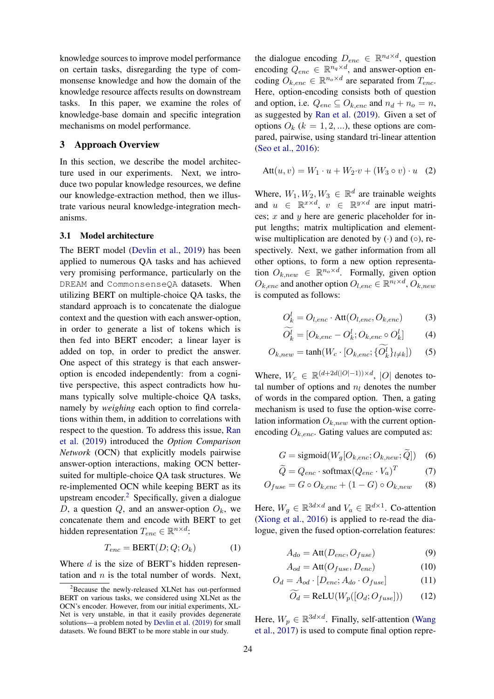knowledge sources to improve model performance on certain tasks, disregarding the type of commonsense knowledge and how the domain of the knowledge resource affects results on downstream tasks. In this paper, we examine the roles of knowledge-base domain and specific integration mechanisms on model performance.

## 3 Approach Overview

In this section, we describe the model architecture used in our experiments. Next, we introduce two popular knowledge resources, we define our knowledge-extraction method, then we illustrate various neural knowledge-integration mechanisms.

## 3.1 Model architecture

The BERT model [\(Devlin et al.,](#page-8-0) [2019\)](#page-8-0) has been applied to numerous QA tasks and has achieved very promising performance, particularly on the DREAM and CommonsenseQA datasets. When utilizing BERT on multiple-choice QA tasks, the standard approach is to concatenate the dialogue context and the question with each answer-option, in order to generate a list of tokens which is then fed into BERT encoder; a linear layer is added on top, in order to predict the answer. One aspect of this strategy is that each answeroption is encoded independently: from a cognitive perspective, this aspect contradicts how humans typically solve multiple-choice QA tasks, namely by *weighing* each option to find correlations within them, in addition to correlations with respect to the question. To address this issue, [Ran](#page-9-6) [et al.](#page-9-6) [\(2019\)](#page-9-6) introduced the *Option Comparison Network* (OCN) that explicitly models pairwise answer-option interactions, making OCN bettersuited for multiple-choice QA task structures. We re-implemented OCN while keeping BERT as its upstream encoder.<sup>[2](#page-2-0)</sup> Specifically, given a dialogue D, a question Q, and an answer-option  $O_k$ , we concatenate them and encode with BERT to get hidden representation  $T_{enc} \in \mathbb{R}^{n \times d}$ :

$$
T_{enc} = BERT(D; Q; O_k)
$$
 (1)

Where  $d$  is the size of BERT's hidden representation and  $n$  is the total number of words. Next,

the dialogue encoding  $D_{enc} \in \mathbb{R}^{n_d \times d}$ , question encoding  $Q_{enc} \in \mathbb{R}^{n_q \times d}$ , and answer-option encoding  $O_{k,enc} \in \mathbb{R}^{n_o \times d}$  are separated from  $T_{enc}$ . Here, option-encoding consists both of question and option, i.e.  $Q_{enc} \subseteq O_{k,enc}$  and  $n_d + n_o = n$ , as suggested by [Ran et al.](#page-9-6) [\(2019\)](#page-9-6). Given a set of options  $O_k$  ( $k = 1, 2, ...$ ), these options are compared, pairwise, using standard tri-linear attention [\(Seo et al.,](#page-9-16) [2016\)](#page-9-16):

<span id="page-2-2"></span>
$$
Att(u, v) = W_1 \cdot u + W_2 \cdot v + (W_3 \circ v) \cdot u \quad (2)
$$

Where,  $W_1, W_2, W_3 \in \mathbb{R}^d$  are trainable weights and  $u \in \mathbb{R}^{x \times d}$ ,  $v \in \mathbb{R}^{y \times d}$  are input matrices; x and y here are generic placeholder for input lengths; matrix multiplication and elementwise multiplication are denoted by  $(·)$  and  $(∘)$ , respectively. Next, we gather information from all other options, to form a new option representation  $O_{k,new} \in \mathbb{R}^{n_o \times d}$ . Formally, given option  $O_{k,enc}$  and another option  $O_{l,enc} \in \mathbb{R}^{n_l \times d}$ ,  $O_{k,new}$ is computed as follows:

$$
O_k^l = O_{l,enc} \cdot \text{Att}(O_{l,enc}, O_{k,enc}) \tag{3}
$$

$$
O_k^l = [O_{k,enc} - O_k^l; O_{k,enc} \circ O_k^l] \tag{4}
$$

$$
O_{k,new} = \tanh(W_c \cdot [O_{k,enc}; \{O_k^l\}_{l \neq k}])
$$
 (5)

Where,  $W_c \in \mathbb{R}^{(d+2d(|O|-1)) \times d}$ , |O| denotes total number of options and  $n_l$  denotes the number of words in the compared option. Then, a gating mechanism is used to fuse the option-wise correlation information  $O_{k,new}$  with the current optionencoding  $O_{k,enc}$ . Gating values are computed as:

$$
G = sigmoid(W_g[O_{k,enc}; O_{k,new}; Q]) \quad (6)
$$

$$
\widetilde{Q} = Q_{enc} \cdot \text{softmax}(Q_{enc} \cdot V_a)^T \tag{7}
$$

$$
O_{fuse} = G \circ O_{k, enc} + (1 - G) \circ O_{k, new} \qquad (8)
$$

<span id="page-2-1"></span>Here,  $W_g \in \mathbb{R}^{3d \times d}$  and  $V_a \in \mathbb{R}^{d \times 1}$ . Co-attention [\(Xiong et al.,](#page-10-7) [2016\)](#page-10-7) is applied to re-read the dialogue, given the fused option-correlation features:

$$
A_{do} = \text{Att}(D_{enc}, O_{fuse})
$$
 (9)

$$
A_{od} = \text{Att}(O_{fuse}, D_{enc})
$$
 (10)

$$
O_d = A_{od} \cdot [D_{enc}; A_{do} \cdot O_{fuse}] \tag{11}
$$

$$
O_d = \text{ReLU}(W_p([O_d; O_{fuse}])) \tag{12}
$$

Here,  $W_p \in \mathbb{R}^{3d \times d}$ . Finally, self-attention [\(Wang](#page-9-17) [et al.,](#page-9-17) [2017\)](#page-9-17) is used to compute final option repre-

<span id="page-2-0"></span><sup>&</sup>lt;sup>2</sup>Because the newly-released XLNet has out-performed BERT on various tasks, we considered using XLNet as the OCN's encoder. However, from our initial experiments, XL-Net is very unstable, in that it easily provides degenerate solutions—a problem noted by [Devlin et al.](#page-8-0) [\(2019\)](#page-8-0) for small datasets. We found BERT to be more stable in our study.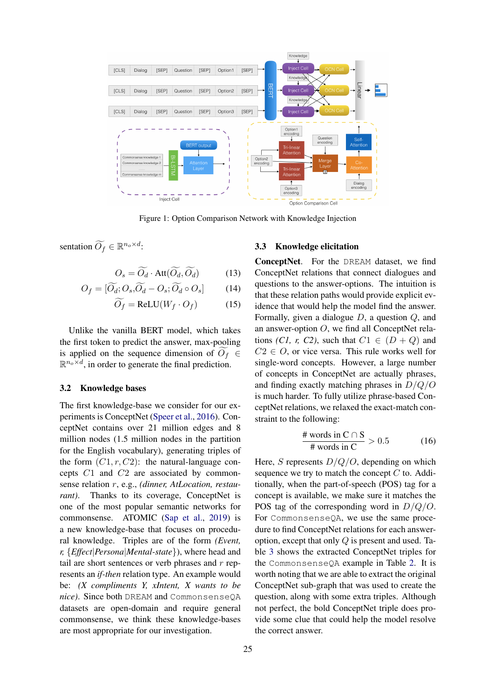<span id="page-3-0"></span>

Figure 1: Option Comparison Network with Knowledge Injection

sentation  $\widetilde{O_f} \in \mathbb{R}^{n_o \times d}$ :

$$
O_s = \widetilde{O_d} \cdot \text{Att}(\widetilde{O_d}, \widetilde{O_d}) \tag{13}
$$

$$
O_f = [\tilde{O_d}; O_s, \tilde{O_d} - O_s; \tilde{O_d} \circ O_s]
$$
 (14)

$$
\widetilde{O_f} = \text{ReLU}(W_f \cdot O_f) \tag{15}
$$

Unlike the vanilla BERT model, which takes the first token to predict the answer, max-pooling is applied on the sequence dimension of  $O_f \in$  $\mathbb{R}^{n_o \times d}$ , in order to generate the final prediction.

#### 3.2 Knowledge bases

The first knowledge-base we consider for our experiments is ConceptNet [\(Speer et al.,](#page-9-4) [2016\)](#page-9-4). ConceptNet contains over 21 million edges and 8 million nodes (1.5 million nodes in the partition for the English vocabulary), generating triples of the form  $(C1, r, C2)$ : the natural-language concepts C1 and C2 are associated by commonsense relation r, e.g., *(dinner, AtLocation, restaurant*). Thanks to its coverage, ConceptNet is one of the most popular semantic networks for commonsense. ATOMIC [\(Sap et al.,](#page-9-5) [2019\)](#page-9-5) is a new knowledge-base that focuses on procedural knowledge. Triples are of the form *(Event, r,* {*Effect*|*Persona*|*Mental-state*}), where head and tail are short sentences or verb phrases and  $r$  represents an *if-then* relation type. An example would be: *(X compliments Y, xIntent, X wants to be nice)*. Since both DREAM and CommonsenseQA datasets are open-domain and require general commonsense, we think these knowledge-bases are most appropriate for our investigation.

#### 3.3 Knowledge elicitation

ConceptNet. For the DREAM dataset, we find ConceptNet relations that connect dialogues and questions to the answer-options. The intuition is that these relation paths would provide explicit evidence that would help the model find the answer. Formally, given a dialogue D, a question Q, and an answer-option  $O$ , we find all ConceptNet relations *(C1, r, C2)*, such that  $C1 \in (D+Q)$  and  $C2 \in O$ , or vice versa. This rule works well for single-word concepts. However, a large number of concepts in ConceptNet are actually phrases, and finding exactly matching phrases in D/Q/O is much harder. To fully utilize phrase-based ConceptNet relations, we relaxed the exact-match constraint to the following:

$$
\frac{\text{\# words in } C \cap S}{\text{\# words in } C} > 0.5 \tag{16}
$$

Here, S represents  $D/Q/O$ , depending on which sequence we try to match the concept  $C$  to. Additionally, when the part-of-speech (POS) tag for a concept is available, we make sure it matches the POS tag of the corresponding word in  $D/Q/O$ . For CommonsenseQA, we use the same procedure to find ConceptNet relations for each answeroption, except that only  $Q$  is present and used. Table [3](#page-4-0) shows the extracted ConceptNet triples for the CommonsenseQA example in Table [2.](#page-1-1) It is worth noting that we are able to extract the original ConceptNet sub-graph that was used to create the question, along with some extra triples. Although not perfect, the bold ConceptNet triple does provide some clue that could help the model resolve the correct answer.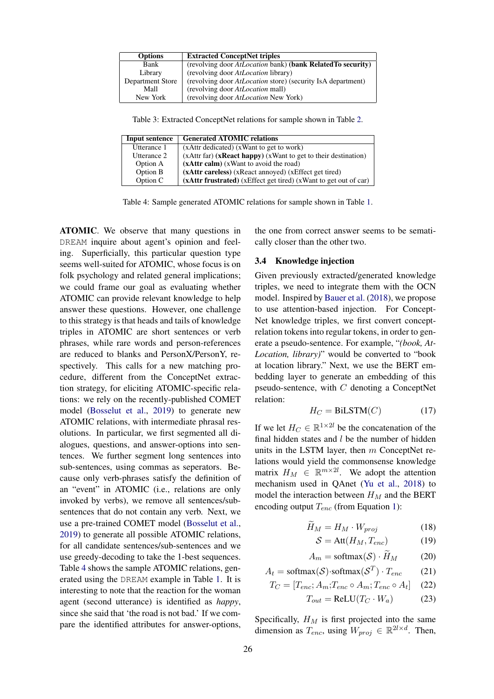<span id="page-4-0"></span>

| <b>Options</b>   | <b>Extracted ConceptNet triples</b>                         |
|------------------|-------------------------------------------------------------|
| Bank             | (revolving door AtLocation bank) (bank RelatedTo security)  |
| Library          | (revolving door AtLocation library)                         |
| Department Store | (revolving door AtLocation store) (security IsA department) |
| Mall             | (revolving door <i>AtLocation</i> mall)                     |
| New York         | (revolving door AtLocation New York)                        |

Table 3: Extracted ConceptNet relations for sample shown in Table [2.](#page-1-1)

<span id="page-4-1"></span>

| Input sentence | <b>Generated ATOMIC relations</b>                                |
|----------------|------------------------------------------------------------------|
| Utterance 1    | (xAttr dedicated) (xWant to get to work)                         |
| Utterance 2    | (xAttr far) (xReact happy) (xWant to get to their destination)   |
| Option A       | (xAttr calm) (xWant to avoid the road)                           |
| Option B       | (xAttr careless) (xReact annoyed) (xEffect get tired)            |
| Option C       | (xAttr frustrated) (xEffect get tired) (xWant to get out of car) |

Table 4: Sample generated ATOMIC relations for sample shown in Table [1.](#page-1-0)

ATOMIC. We observe that many questions in DREAM inquire about agent's opinion and feeling. Superficially, this particular question type seems well-suited for ATOMIC, whose focus is on folk psychology and related general implications; we could frame our goal as evaluating whether ATOMIC can provide relevant knowledge to help answer these questions. However, one challenge to this strategy is that heads and tails of knowledge triples in ATOMIC are short sentences or verb phrases, while rare words and person-references are reduced to blanks and PersonX/PersonY, respectively. This calls for a new matching procedure, different from the ConceptNet extraction strategy, for eliciting ATOMIC-specific relations: we rely on the recently-published COMET model [\(Bosselut et al.,](#page-8-10) [2019\)](#page-8-10) to generate new ATOMIC relations, with intermediate phrasal resolutions. In particular, we first segmented all dialogues, questions, and answer-options into sentences. We further segment long sentences into sub-sentences, using commas as seperators. Because only verb-phrases satisfy the definition of an "event" in ATOMIC (i.e., relations are only invoked by verbs), we remove all sentences/subsentences that do not contain any verb. Next, we use a pre-trained COMET model [\(Bosselut et al.,](#page-8-10) [2019\)](#page-8-10) to generate all possible ATOMIC relations, for all candidate sentences/sub-sentences and we use greedy-decoding to take the 1-best sequences. Table [4](#page-4-1) shows the sample ATOMIC relations, generated using the DREAM example in Table [1.](#page-1-0) It is interesting to note that the reaction for the woman agent (second utterance) is identified as *happy*, since she said that 'the road is not bad.' If we compare the identified attributes for answer-options,

the one from correct answer seems to be sematically closer than the other two.

# 3.4 Knowledge injection

Given previously extracted/generated knowledge triples, we need to integrate them with the OCN model. Inspired by [Bauer et al.](#page-8-5) [\(2018\)](#page-8-5), we propose to use attention-based injection. For Concept-Net knowledge triples, we first convert conceptrelation tokens into regular tokens, in order to generate a pseudo-sentence. For example, "*(book, At-Location, library)*" would be converted to "book at location library." Next, we use the BERT embedding layer to generate an embedding of this pseudo-sentence, with  $C$  denoting a ConceptNet relation:

$$
H_C = \text{BiLSTM}(C) \tag{17}
$$

If we let  $H_C \in \mathbb{R}^{1 \times 2l}$  be the concatenation of the final hidden states and  $l$  be the number of hidden units in the LSTM layer, then  $m$  ConceptNet relations would yield the commonsense knowledge matrix  $H_M \in \mathbb{R}^{m \times 2l}$ . We adopt the attention mechanism used in QAnet [\(Yu et al.,](#page-10-8) [2018\)](#page-10-8) to model the interaction between  $H_M$  and the BERT encoding output  $T_{enc}$  (from Equation [1\)](#page-2-1):

$$
\widetilde{H}_M = H_M \cdot W_{proj} \tag{18}
$$

$$
S = \text{Att}(H_M, T_{enc}) \tag{19}
$$

$$
A_m = \text{softmax}(\mathcal{S}) \cdot \bar{H}_M \tag{20}
$$

$$
A_t = \text{softmax}(\mathcal{S}) \cdot \text{softmax}(\mathcal{S}^T) \cdot T_{enc} \tag{21}
$$

$$
T_C = [T_{enc}; A_m; T_{enc} \circ A_m; T_{enc} \circ A_t]
$$
 (22)

$$
T_{out} = \text{ReLU}(T_C \cdot W_a) \tag{23}
$$

Specifically,  $H_M$  is first projected into the same dimension as  $T_{enc}$ , using  $W_{proj} \in \mathbb{R}^{2l \times d}$ . Then,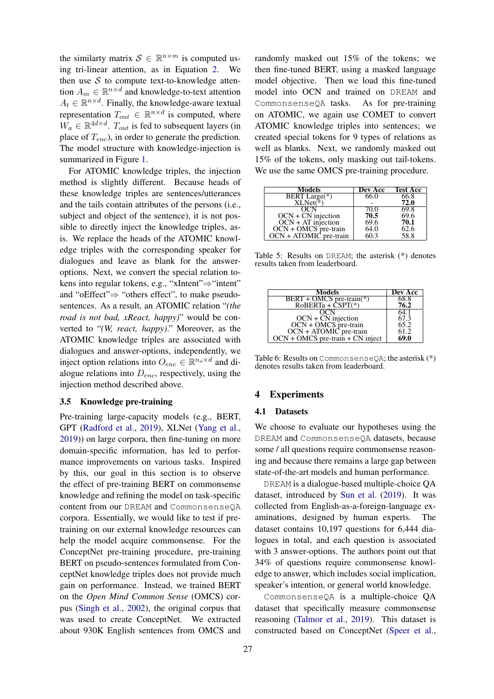the similarty matrix  $S \in \mathbb{R}^{n \times m}$  is computed using tri-linear attention, as in Equation [2.](#page-2-2) We then use  $S$  to compute text-to-knowledge attention  $A_m \in \mathbb{R}^{n \times d}$  and knowledge-to-text attention  $A_t \in \mathbb{R}^{n \times d}$ . Finally, the knowledge-aware textual representation  $T_{out} \in \mathbb{R}^{n \times d}$  is computed, where  $W_a \in \mathbb{R}^{4d \times d}$ .  $T_{out}$  is fed to subsequent layers (in place of  $T_{enc}$ ), in order to generate the prediction. The model structure with knowledge-injection is summarized in Figure [1.](#page-3-0)

For ATOMIC knowledge triples, the injection method is slightly different. Because heads of these knowledge triples are sentences/utterances and the tails contain attributes of the persons (i.e., subject and object of the sentence), it is not possible to directly inject the knowledge triples, asis. We replace the heads of the ATOMIC knowledge triples with the corresponding speaker for dialogues and leave as blank for the answeroptions. Next, we convert the special relation tokens into regular tokens, e.g., "xIntent"⇒"intent" and "oEffect"⇒ "others effect", to make pseudosentences. As a result, an ATOMIC relation "*(the road is not bad, xReact, happy)*" would be converted to "*(W, react, happy)*." Moreover, as the ATOMIC knowledge triples are associated with dialogues and answer-options, independently, we inject option relations into  $O_{enc} \in \mathbb{R}^{n_o \times d}$  and dialogue relations into  $D_{enc}$ , respectively, using the injection method described above.

#### 3.5 Knowledge pre-training

Pre-training large-capacity models (e.g., BERT, GPT [\(Radford et al.,](#page-9-0) [2019\)](#page-9-0), XLNet [\(Yang et al.,](#page-10-0) [2019\)](#page-10-0)) on large corpora, then fine-tuning on more domain-specific information, has led to performance improvements on various tasks. Inspired by this, our goal in this section is to observe the effect of pre-training BERT on commonsense knowledge and refining the model on task-specific content from our DREAM and CommonsenseQA corpora. Essentially, we would like to test if pretraining on our external knowledge resources can help the model acquire commonsense. For the ConceptNet pre-training procedure, pre-training BERT on pseudo-sentences formulated from ConceptNet knowledge triples does not provide much gain on performance. Instead, we trained BERT on the *Open Mind Common Sense* (OMCS) corpus [\(Singh et al.,](#page-9-18) [2002\)](#page-9-18), the original corpus that was used to create ConceptNet. We extracted about 930K English sentences from OMCS and randomly masked out 15% of the tokens; we then fine-tuned BERT, using a masked language model objective. Then we load this fine-tuned model into OCN and trained on DREAM and CommonsenseQA tasks. As for pre-training on ATOMIC, we again use COMET to convert ATOMIC knowledge triples into sentences; we created special tokens for 9 types of relations as well as blanks. Next, we randomly masked out 15% of the tokens, only masking out tail-tokens. We use the same OMCS pre-training procedure.

<span id="page-5-0"></span>

| Models                                                           | Dev Acc | <b>Test Acc</b> |
|------------------------------------------------------------------|---------|-----------------|
| BERT Large(*)                                                    | 66.0    | 66.8            |
| $XLNet(*)$                                                       |         | 72.0            |
| OCN                                                              | 70.0    | 69.8            |
|                                                                  | 70.5    | 69.6            |
| OCN + CN injection<br>OCN + AT injection<br>OCN + OMCS pre-train | 69.6    | 70.1            |
|                                                                  | 64.0    | 62.6            |
| OCN + ATOMIC pre-train                                           | 60.3    | 58.8            |

Table 5: Results on DREAM; the asterisk (\*) denotes results taken from leaderboard.

<span id="page-5-1"></span>

| Models                                                                                                   | Dev Acc |
|----------------------------------------------------------------------------------------------------------|---------|
|                                                                                                          | 68.8    |
| BERT + OMCS pre-train(*)<br>RoBERTa + CSPT(*)                                                            | 76.2    |
|                                                                                                          | 64.1    |
|                                                                                                          | 67.3    |
|                                                                                                          | 65.2    |
|                                                                                                          | 61.2    |
| OCN + CN injection<br>OCN + OMCS pre-train<br>OCN + ATOMIC pre-train<br>OCN + OMCS pre-train + CN inject | 69.0    |

Table 6: Results on CommonsenseQA; the asterisk (\*) denotes results taken from leaderboard.

## 4 Experiments

#### 4.1 Datasets

We choose to evaluate our hypotheses using the DREAM and CommonsenseQA datasets, because some / all questions require commonsense reasoning and because there remains a large gap between state-of-the-art models and human performance.

DREAM is a dialogue-based multiple-choice QA dataset, introduced by [Sun et al.](#page-9-7) [\(2019\)](#page-9-7). It was collected from English-as-a-foreign-language examinations, designed by human experts. The dataset contains 10,197 questions for 6,444 dialogues in total, and each question is associated with 3 answer-options. The authors point out that 34% of questions require commonsense knowledge to answer, which includes social implication, speaker's intention, or general world knowledge.

CommonsenseQA is a multiple-choice QA dataset that specifically measure commonsense reasoning [\(Talmor et al.,](#page-9-8) [2019\)](#page-9-8). This dataset is constructed based on ConceptNet [\(Speer et al.,](#page-9-4)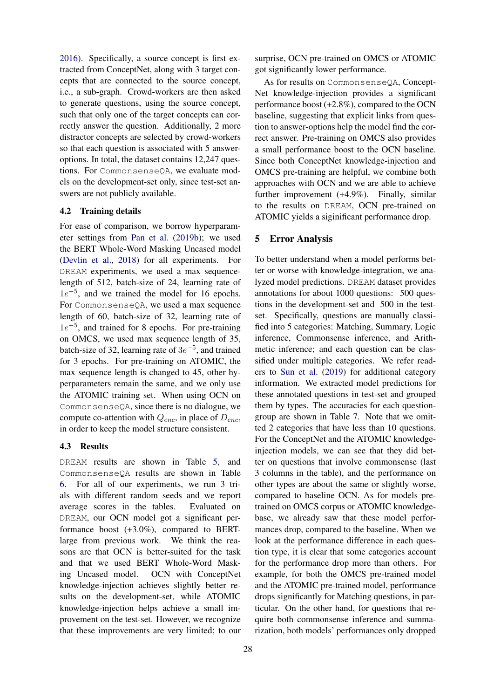[2016\)](#page-9-4). Specifically, a source concept is first extracted from ConceptNet, along with 3 target concepts that are connected to the source concept, i.e., a sub-graph. Crowd-workers are then asked to generate questions, using the source concept, such that only one of the target concepts can correctly answer the question. Additionally, 2 more distractor concepts are selected by crowd-workers so that each question is associated with 5 answeroptions. In total, the dataset contains 12,247 questions. For CommonsenseQA, we evaluate models on the development-set only, since test-set answers are not publicly available.

#### 4.2 Training details

For ease of comparison, we borrow hyperparameter settings from [Pan et al.](#page-9-19) [\(2019b\)](#page-9-19); we used the BERT Whole-Word Masking Uncased model [\(Devlin et al.,](#page-8-11) [2018\)](#page-8-11) for all experiments. For DREAM experiments, we used a max sequencelength of 512, batch-size of 24, learning rate of  $1e^{-5}$ , and we trained the model for 16 epochs. For CommonsenseQA, we used a max sequence length of 60, batch-size of 32, learning rate of  $1e^{-5}$ , and trained for 8 epochs. For pre-training on OMCS, we used max sequence length of 35, batch-size of 32, learning rate of  $3e^{-5}$ , and trained for 3 epochs. For pre-training on ATOMIC, the max sequence length is changed to 45, other hyperparameters remain the same, and we only use the ATOMIC training set. When using OCN on CommonsenseQA, since there is no dialogue, we compute co-attention with  $Q_{enc}$ , in place of  $D_{enc}$ , in order to keep the model structure consistent.

## 4.3 Results

DREAM results are shown in Table [5,](#page-5-0) and CommonsenseQA results are shown in Table [6.](#page-5-1) For all of our experiments, we run 3 trials with different random seeds and we report average scores in the tables. Evaluated on DREAM, our OCN model got a significant performance boost (+3.0%), compared to BERTlarge from previous work. We think the reasons are that OCN is better-suited for the task and that we used BERT Whole-Word Masking Uncased model. OCN with ConceptNet knowledge-injection achieves slightly better results on the development-set, while ATOMIC knowledge-injection helps achieve a small improvement on the test-set. However, we recognize that these improvements are very limited; to our

surprise, OCN pre-trained on OMCS or ATOMIC got significantly lower performance.

As for results on CommonsenseQA, Concept-Net knowledge-injection provides a significant performance boost (+2.8%), compared to the OCN baseline, suggesting that explicit links from question to answer-options help the model find the correct answer. Pre-training on OMCS also provides a small performance boost to the OCN baseline. Since both ConceptNet knowledge-injection and OMCS pre-training are helpful, we combine both approaches with OCN and we are able to achieve further improvement (+4.9%). Finally, similar to the results on DREAM, OCN pre-trained on ATOMIC yields a siginificant performance drop.

## 5 Error Analysis

To better understand when a model performs better or worse with knowledge-integration, we analyzed model predictions. DREAM dataset provides annotations for about 1000 questions: 500 questions in the development-set and 500 in the testset. Specifically, questions are manually classified into 5 categories: Matching, Summary, Logic inference, Commonsense inference, and Arithmetic inference; and each question can be classified under multiple categories. We refer readers to [Sun et al.](#page-9-7) [\(2019\)](#page-9-7) for additional category information. We extracted model predictions for these annotated questions in test-set and grouped them by types. The accuracies for each questiongroup are shown in Table [7.](#page-7-0) Note that we omitted 2 categories that have less than 10 questions. For the ConceptNet and the ATOMIC knowledgeinjection models, we can see that they did better on questions that involve commonsense (last 3 columns in the table), and the performance on other types are about the same or slightly worse, compared to baseline OCN. As for models pretrained on OMCS corpus or ATOMIC knowledgebase, we already saw that these model performances drop, compared to the baseline. When we look at the performance difference in each question type, it is clear that some categories account for the performance drop more than others. For example, for both the OMCS pre-trained model and the ATOMIC pre-trained model, performance drops significantly for Matching questions, in particular. On the other hand, for questions that require both commonsense inference and summarization, both models' performances only dropped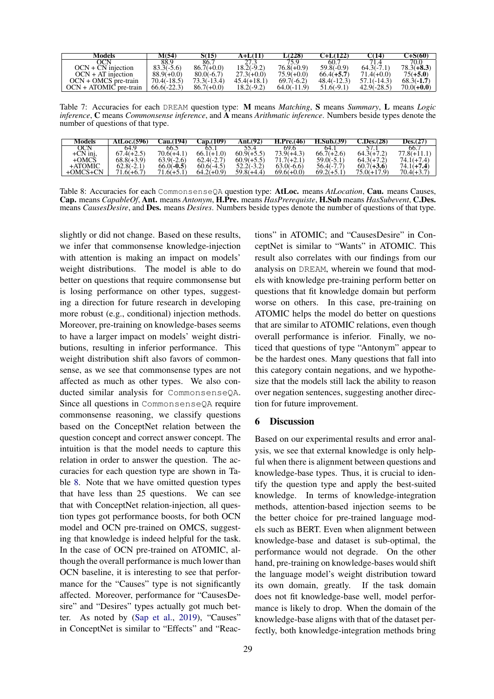<span id="page-7-0"></span>

| Models                   | M(54)         | S(15)         | A+L(11)       | (228).        | $C+L(122)$    | C(14)         | 7+S(60)      |
|--------------------------|---------------|---------------|---------------|---------------|---------------|---------------|--------------|
| ЭCN                      | 88.9          | 86.7          |               | 75 Q          | 60.7          |               | 70.0         |
| $OCN + CN$ injection     | $83.3(-5.6)$  | $86.7(+0.0)$  | 18.2(-9.2)    | $76.8(+0.9)$  | $59.8(-0.9)$  | $64.3(-7.1)$  | $78.3(+8.3)$ |
| $OCN + AT$ injection     | $88.9(+0.0)$  | $80.0(-6.7)$  | $27.3(+0.0)$  | $75.9(+0.0)$  | $66.4(+5.7)$  | $71.4(+0.0)$  | $75(+5.0)$   |
| $OCN + OMCS$ pre-train   | $70.4(-18.5)$ | $73.3(-13.4)$ | $45.4(+18.1)$ | $69.7(-6.2)$  | $48.4(-12.3)$ | $57.1(-14.3)$ | $68.3(-1.7)$ |
| $OCN + ATOMIC$ pre-train | $66.6(-22.3)$ | $86.7(+0.0)$  | 18.2(-9.2)    | $64.0(-11.9)$ | $51.6(-9.1)$  | $42.9(-28.5)$ | $70.0(+0.0)$ |

Table 7: Accuracies for each DREAM question type: M means *Matching*, S means *Summary*, L means *Logic inference*, C means *Commonsense inference*, and A means *Arithmatic inference*. Numbers beside types denote the number of questions of that type.

<span id="page-7-1"></span>

| Models     | AtLoc. $(596)$ | Cau.(194)    | <b>Cap.(109)</b> | Ant.(92)     | H.Pre.(46)   | H.Sub.(39)   | <b>C.Des.(28)</b> | <b>Des.(27</b> |
|------------|----------------|--------------|------------------|--------------|--------------|--------------|-------------------|----------------|
| OCN        | 64.9           | 66.5         | 65.1             | 55.4         | 69.6         | 64.)         |                   | 66.7           |
| $+CN$ inj, | $67.4(+2.5)$   | $70.6(+4.1)$ | $66.1(+1.0)$     | $60.9(+5.5)$ | $73.9(+4.3)$ | $66.7(+2.6)$ | $64.3(+7.2)$      | $77.8(+11.1)$  |
| $+OMCS$    | $68.8(+3.9)$   | $63.9(-2.6)$ | $62.4(-2.7)$     | $60.9(+5.5)$ | $71.7(+2.1)$ | $59.0(-5.1)$ | $64.3(+7.2)$      | $74.1(+7.4)$   |
| +ATOMIC    | $62.8(-2.1)$   | $66.0(-0.5)$ | $60.6(-4.5)$     | 52.2(-3.2)   | $63.0(-6.6)$ | $56.4(-7.7)$ | $60.7(+3.6)$      | $74.1(+7.4)$   |
| $+OMCS+CN$ | $.6(+6.7)$     | $71.6(+5.1)$ | $64.2(+0.9)$     | $59.8(+4.4)$ | $69.6(+0.0)$ | $69.2(+5.1)$ | $75.0(+17.9)$     | $70.4(+3.7)$   |

Table 8: Accuracies for each CommonsenseQA question type: AtLoc. means *AtLocation*, Cau. means Causes, Cap. means *CapableOf*, Ant. means *Antonym*, H.Pre. means *HasPrerequiste*, H.Sub means *HasSubevent*, C.Des. means *CausesDesire*, and Des. means *Desires*. Numbers beside types denote the number of questions of that type.

slightly or did not change. Based on these results, we infer that commonsense knowledge-injection with attention is making an impact on models' weight distributions. The model is able to do better on questions that require commonsense but is losing performance on other types, suggesting a direction for future research in developing more robust (e.g., conditional) injection methods. Moreover, pre-training on knowledge-bases seems to have a larger impact on models' weight distributions, resulting in inferior performance. This weight distribution shift also favors of commonsense, as we see that commonsense types are not affected as much as other types. We also conducted similar analysis for CommonsenseQA. Since all questions in CommonsenseQA require commonsense reasoning, we classify questions based on the ConceptNet relation between the question concept and correct answer concept. The intuition is that the model needs to capture this relation in order to answer the question. The accuracies for each question type are shown in Table [8.](#page-7-1) Note that we have omitted question types that have less than 25 questions. We can see that with ConceptNet relation-injection, all question types got performance boosts, for both OCN model and OCN pre-trained on OMCS, suggesting that knowledge is indeed helpful for the task. In the case of OCN pre-trained on ATOMIC, although the overall performance is much lower than OCN baseline, it is interesting to see that performance for the "Causes" type is not significantly affected. Moreover, performance for "CausesDesire" and "Desires" types actually got much better. As noted by [\(Sap et al.,](#page-9-5) [2019\)](#page-9-5), "Causes" in ConceptNet is similar to "Effects" and "Reac-

tions" in ATOMIC; and "CausesDesire" in ConceptNet is similar to "Wants" in ATOMIC. This result also correlates with our findings from our analysis on DREAM, wherein we found that models with knowledge pre-training perform better on questions that fit knowledge domain but perform worse on others. In this case, pre-training on ATOMIC helps the model do better on questions that are similar to ATOMIC relations, even though overall performance is inferior. Finally, we noticed that questions of type "Antonym" appear to be the hardest ones. Many questions that fall into this category contain negations, and we hypothesize that the models still lack the ability to reason over negation sentences, suggesting another direction for future improvement.

## 6 Discussion

Based on our experimental results and error analysis, we see that external knowledge is only helpful when there is alignment between questions and knowledge-base types. Thus, it is crucial to identify the question type and apply the best-suited knowledge. In terms of knowledge-integration methods, attention-based injection seems to be the better choice for pre-trained language models such as BERT. Even when alignment between knowledge-base and dataset is sub-optimal, the performance would not degrade. On the other hand, pre-training on knowledge-bases would shift the language model's weight distribution toward its own domain, greatly. If the task domain does not fit knowledge-base well, model performance is likely to drop. When the domain of the knowledge-base aligns with that of the dataset perfectly, both knowledge-integration methods bring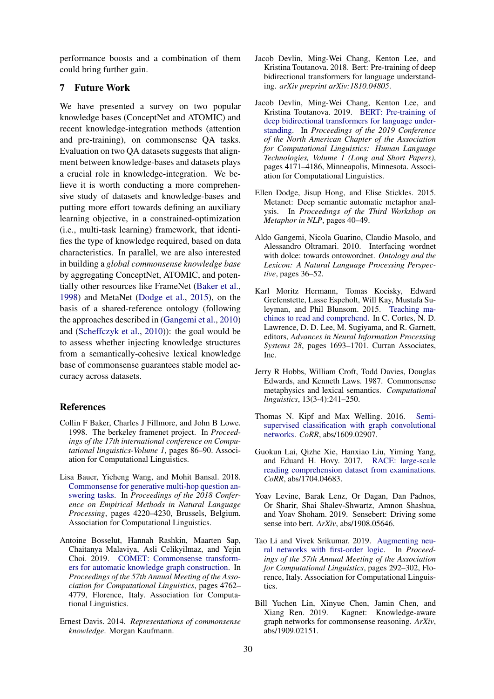performance boosts and a combination of them could bring further gain.

# 7 Future Work

We have presented a survey on two popular knowledge bases (ConceptNet and ATOMIC) and recent knowledge-integration methods (attention and pre-training), on commonsense QA tasks. Evaluation on two QA datasets suggests that alignment between knowledge-bases and datasets plays a crucial role in knowledge-integration. We believe it is worth conducting a more comprehensive study of datasets and knowledge-bases and putting more effort towards defining an auxiliary learning objective, in a constrained-optimization (i.e., multi-task learning) framework, that identifies the type of knowledge required, based on data characteristics. In parallel, we are also interested in building a *global commonsense knowledge base* by aggregating ConceptNet, ATOMIC, and potentially other resources like FrameNet [\(Baker et al.,](#page-8-12) [1998\)](#page-8-12) and MetaNet [\(Dodge et al.,](#page-8-13) [2015\)](#page-8-13), on the basis of a shared-reference ontology (following the approaches described in [\(Gangemi et al.,](#page-8-14) [2010\)](#page-8-14) and [\(Scheffczyk et al.,](#page-9-20) [2010\)](#page-9-20)): the goal would be to assess whether injecting knowledge structures from a semantically-cohesive lexical knowledge base of commonsense guarantees stable model accuracy across datasets.

## **References**

- <span id="page-8-12"></span>Collin F Baker, Charles J Fillmore, and John B Lowe. 1998. The berkeley framenet project. In *Proceedings of the 17th international conference on Computational linguistics-Volume 1*, pages 86–90. Association for Computational Linguistics.
- <span id="page-8-5"></span>Lisa Bauer, Yicheng Wang, and Mohit Bansal. 2018. [Commonsense for generative multi-hop question an](https://doi.org/10.18653/v1/D18-1454)[swering tasks.](https://doi.org/10.18653/v1/D18-1454) In *Proceedings of the 2018 Conference on Empirical Methods in Natural Language Processing*, pages 4220–4230, Brussels, Belgium. Association for Computational Linguistics.
- <span id="page-8-10"></span>Antoine Bosselut, Hannah Rashkin, Maarten Sap, Chaitanya Malaviya, Asli Celikyilmaz, and Yejin Choi. 2019. [COMET: Commonsense transform](https://www.aclweb.org/anthology/P19-1470)[ers for automatic knowledge graph construction.](https://www.aclweb.org/anthology/P19-1470) In *Proceedings of the 57th Annual Meeting of the Association for Computational Linguistics*, pages 4762– 4779, Florence, Italy. Association for Computational Linguistics.
- <span id="page-8-3"></span>Ernest Davis. 2014. *Representations of commonsense knowledge*. Morgan Kaufmann.
- <span id="page-8-11"></span>Jacob Devlin, Ming-Wei Chang, Kenton Lee, and Kristina Toutanova. 2018. Bert: Pre-training of deep bidirectional transformers for language understanding. *arXiv preprint arXiv:1810.04805*.
- <span id="page-8-0"></span>Jacob Devlin, Ming-Wei Chang, Kenton Lee, and Kristina Toutanova. 2019. [BERT: Pre-training of](https://doi.org/10.18653/v1/N19-1423) [deep bidirectional transformers for language under](https://doi.org/10.18653/v1/N19-1423)[standing.](https://doi.org/10.18653/v1/N19-1423) In *Proceedings of the 2019 Conference of the North American Chapter of the Association for Computational Linguistics: Human Language Technologies, Volume 1 (Long and Short Papers)*, pages 4171–4186, Minneapolis, Minnesota. Association for Computational Linguistics.
- <span id="page-8-13"></span>Ellen Dodge, Jisup Hong, and Elise Stickles. 2015. Metanet: Deep semantic automatic metaphor analysis. In *Proceedings of the Third Workshop on Metaphor in NLP*, pages 40–49.
- <span id="page-8-14"></span>Aldo Gangemi, Nicola Guarino, Claudio Masolo, and Alessandro Oltramari. 2010. Interfacing wordnet with dolce: towards ontowordnet. *Ontology and the Lexicon: A Natural Language Processing Perspective*, pages 36–52.
- <span id="page-8-1"></span>Karl Moritz Hermann, Tomas Kocisky, Edward Grefenstette, Lasse Espeholt, Will Kay, Mustafa Suleyman, and Phil Blunsom. 2015. [Teaching ma](http://papers.nips.cc/paper/5945-teaching-machines-to-read-and-comprehend.pdf)[chines to read and comprehend.](http://papers.nips.cc/paper/5945-teaching-machines-to-read-and-comprehend.pdf) In C. Cortes, N. D. Lawrence, D. D. Lee, M. Sugiyama, and R. Garnett, editors, *Advances in Neural Information Processing Systems 28*, pages 1693–1701. Curran Associates, Inc.
- <span id="page-8-4"></span>Jerry R Hobbs, William Croft, Todd Davies, Douglas Edwards, and Kenneth Laws. 1987. Commonsense metaphysics and lexical semantics. *Computational linguistics*, 13(3-4):241–250.
- <span id="page-8-7"></span>Thomas N. Kipf and Max Welling. 2016. [Semi](http://arxiv.org/abs/1609.02907)[supervised classification with graph convolutional](http://arxiv.org/abs/1609.02907) [networks.](http://arxiv.org/abs/1609.02907) *CoRR*, abs/1609.02907.
- <span id="page-8-2"></span>Guokun Lai, Qizhe Xie, Hanxiao Liu, Yiming Yang, and Eduard H. Hovy. 2017. [RACE: large-scale](http://arxiv.org/abs/1704.04683) [reading comprehension dataset from examinations.](http://arxiv.org/abs/1704.04683) *CoRR*, abs/1704.04683.
- <span id="page-8-9"></span>Yoav Levine, Barak Lenz, Or Dagan, Dan Padnos, Or Sharir, Shai Shalev-Shwartz, Amnon Shashua, and Yoav Shoham. 2019. Sensebert: Driving some sense into bert. *ArXiv*, abs/1908.05646.
- <span id="page-8-8"></span>Tao Li and Vivek Srikumar. 2019. [Augmenting neu](https://doi.org/10.18653/v1/P19-1028)[ral networks with first-order logic.](https://doi.org/10.18653/v1/P19-1028) In *Proceedings of the 57th Annual Meeting of the Association for Computational Linguistics*, pages 292–302, Florence, Italy. Association for Computational Linguistics.
- <span id="page-8-6"></span>Bill Yuchen Lin, Xinyue Chen, Jamin Chen, and Xiang Ren. 2019. Kagnet: Knowledge-aware Kagnet: Knowledge-aware graph networks for commonsense reasoning. *ArXiv*, abs/1909.02151.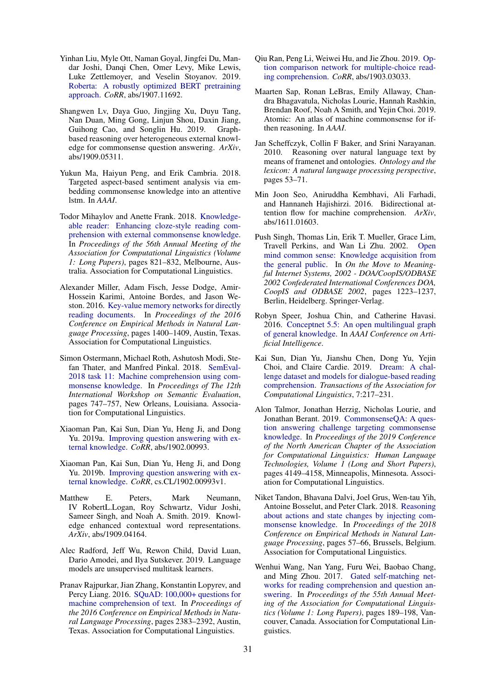- <span id="page-9-1"></span>Yinhan Liu, Myle Ott, Naman Goyal, Jingfei Du, Mandar Joshi, Danqi Chen, Omer Levy, Mike Lewis, Luke Zettlemoyer, and Veselin Stoyanov. 2019. [Roberta: A robustly optimized BERT pretraining](http://arxiv.org/abs/1907.11692) [approach.](http://arxiv.org/abs/1907.11692) *CoRR*, abs/1907.11692.
- <span id="page-9-12"></span>Shangwen Lv, Daya Guo, Jingjing Xu, Duyu Tang, Nan Duan, Ming Gong, Linjun Shou, Daxin Jiang, Guihong Cao, and Songlin Hu. 2019. Graphbased reasoning over heterogeneous external knowledge for commonsense question answering. *ArXiv*, abs/1909.05311.
- <span id="page-9-14"></span>Yukun Ma, Haiyun Peng, and Erik Cambria. 2018. Targeted aspect-based sentiment analysis via embedding commonsense knowledge into an attentive lstm. In *AAAI*.
- <span id="page-9-9"></span>Todor Mihaylov and Anette Frank. 2018. [Knowledge](https://doi.org/10.18653/v1/P18-1076)[able reader: Enhancing cloze-style reading com](https://doi.org/10.18653/v1/P18-1076)[prehension with external commonsense knowledge.](https://doi.org/10.18653/v1/P18-1076) In *Proceedings of the 56th Annual Meeting of the Association for Computational Linguistics (Volume 1: Long Papers)*, pages 821–832, Melbourne, Australia. Association for Computational Linguistics.
- <span id="page-9-10"></span>Alexander Miller, Adam Fisch, Jesse Dodge, Amir-Hossein Karimi, Antoine Bordes, and Jason Weston. 2016. [Key-value memory networks for directly](https://doi.org/10.18653/v1/D16-1147) [reading documents.](https://doi.org/10.18653/v1/D16-1147) In *Proceedings of the 2016 Conference on Empirical Methods in Natural Language Processing*, pages 1400–1409, Austin, Texas. Association for Computational Linguistics.
- <span id="page-9-3"></span>Simon Ostermann, Michael Roth, Ashutosh Modi, Stefan Thater, and Manfred Pinkal. 2018. [SemEval-](https://doi.org/10.18653/v1/S18-1119)[2018 task 11: Machine comprehension using com](https://doi.org/10.18653/v1/S18-1119)[monsense knowledge.](https://doi.org/10.18653/v1/S18-1119) In *Proceedings of The 12th International Workshop on Semantic Evaluation*, pages 747–757, New Orleans, Louisiana. Association for Computational Linguistics.
- <span id="page-9-11"></span>Xiaoman Pan, Kai Sun, Dian Yu, Heng Ji, and Dong Yu. 2019a. [Improving question answering with ex](http://arxiv.org/abs/1902.00993)[ternal knowledge.](http://arxiv.org/abs/1902.00993) *CoRR*, abs/1902.00993.
- <span id="page-9-19"></span>Xiaoman Pan, Kai Sun, Dian Yu, Heng Ji, and Dong Yu. 2019b. [Improving question answering with ex](https://arxiv.org/abs/1902.00993v1)[ternal knowledge.](https://arxiv.org/abs/1902.00993v1) *CoRR*, cs.CL/1902.00993v1.
- <span id="page-9-15"></span>Matthew E. Peters, Mark Neumann, IV RobertL.Logan, Roy Schwartz, Vidur Joshi, Sameer Singh, and Noah A. Smith. 2019. Knowledge enhanced contextual word representations. *ArXiv*, abs/1909.04164.
- <span id="page-9-0"></span>Alec Radford, Jeff Wu, Rewon Child, David Luan, Dario Amodei, and Ilya Sutskever. 2019. Language models are unsupervised multitask learners.
- <span id="page-9-2"></span>Pranav Rajpurkar, Jian Zhang, Konstantin Lopyrev, and Percy Liang. 2016. [SQuAD: 100,000+ questions for](https://doi.org/10.18653/v1/D16-1264) [machine comprehension of text.](https://doi.org/10.18653/v1/D16-1264) In *Proceedings of the 2016 Conference on Empirical Methods in Natural Language Processing*, pages 2383–2392, Austin, Texas. Association for Computational Linguistics.
- <span id="page-9-6"></span>Qiu Ran, Peng Li, Weiwei Hu, and Jie Zhou. 2019. [Op](http://arxiv.org/abs/1903.03033)[tion comparison network for multiple-choice read](http://arxiv.org/abs/1903.03033)[ing comprehension.](http://arxiv.org/abs/1903.03033) *CoRR*, abs/1903.03033.
- <span id="page-9-5"></span>Maarten Sap, Ronan LeBras, Emily Allaway, Chandra Bhagavatula, Nicholas Lourie, Hannah Rashkin, Brendan Roof, Noah A Smith, and Yejin Choi. 2019. Atomic: An atlas of machine commonsense for ifthen reasoning. In *AAAI*.
- <span id="page-9-20"></span>Jan Scheffczyk, Collin F Baker, and Srini Narayanan. 2010. Reasoning over natural language text by means of framenet and ontologies. *Ontology and the lexicon: A natural language processing perspective*, pages 53–71.
- <span id="page-9-16"></span>Min Joon Seo, Aniruddha Kembhavi, Ali Farhadi, and Hannaneh Hajishirzi. 2016. Bidirectional attention flow for machine comprehension. *ArXiv*, abs/1611.01603.
- <span id="page-9-18"></span>Push Singh, Thomas Lin, Erik T. Mueller, Grace Lim, Travell Perkins, and Wan Li Zhu. 2002. [Open](http://dl.acm.org/citation.cfm?id=646748.701499) [mind common sense: Knowledge acquisition from](http://dl.acm.org/citation.cfm?id=646748.701499) [the general public.](http://dl.acm.org/citation.cfm?id=646748.701499) In *On the Move to Meaningful Internet Systems, 2002 - DOA/CoopIS/ODBASE 2002 Confederated International Conferences DOA, CoopIS and ODBASE 2002*, pages 1223–1237, Berlin, Heidelberg. Springer-Verlag.
- <span id="page-9-4"></span>Robyn Speer, Joshua Chin, and Catherine Havasi. 2016. [Conceptnet 5.5: An open multilingual graph](http://arxiv.org/abs/1612.03975) [of general knowledge.](http://arxiv.org/abs/1612.03975) In *AAAI Conference on Artificial Intelligence*.
- <span id="page-9-7"></span>Kai Sun, Dian Yu, Jianshu Chen, Dong Yu, Yejin Choi, and Claire Cardie. 2019. [Dream: A chal](https://www.transacl.org/ojs/index.php/tacl/article/view/1534)[lenge dataset and models for dialogue-based reading](https://www.transacl.org/ojs/index.php/tacl/article/view/1534) [comprehension.](https://www.transacl.org/ojs/index.php/tacl/article/view/1534) *Transactions of the Association for Computational Linguistics*, 7:217–231.
- <span id="page-9-8"></span>Alon Talmor, Jonathan Herzig, Nicholas Lourie, and Jonathan Berant. 2019. [CommonsenseQA: A ques](https://doi.org/10.18653/v1/N19-1421)[tion answering challenge targeting commonsense](https://doi.org/10.18653/v1/N19-1421) [knowledge.](https://doi.org/10.18653/v1/N19-1421) In *Proceedings of the 2019 Conference of the North American Chapter of the Association for Computational Linguistics: Human Language Technologies, Volume 1 (Long and Short Papers)*, pages 4149–4158, Minneapolis, Minnesota. Association for Computational Linguistics.
- <span id="page-9-13"></span>Niket Tandon, Bhavana Dalvi, Joel Grus, Wen-tau Yih, Antoine Bosselut, and Peter Clark. 2018. [Reasoning](https://doi.org/10.18653/v1/D18-1006) [about actions and state changes by injecting com](https://doi.org/10.18653/v1/D18-1006)[monsense knowledge.](https://doi.org/10.18653/v1/D18-1006) In *Proceedings of the 2018 Conference on Empirical Methods in Natural Language Processing*, pages 57–66, Brussels, Belgium. Association for Computational Linguistics.
- <span id="page-9-17"></span>Wenhui Wang, Nan Yang, Furu Wei, Baobao Chang, and Ming Zhou. 2017. [Gated self-matching net](https://doi.org/10.18653/v1/P17-1018)[works for reading comprehension and question an](https://doi.org/10.18653/v1/P17-1018)[swering.](https://doi.org/10.18653/v1/P17-1018) In *Proceedings of the 55th Annual Meeting of the Association for Computational Linguistics (Volume 1: Long Papers)*, pages 189–198, Vancouver, Canada. Association for Computational Linguistics.